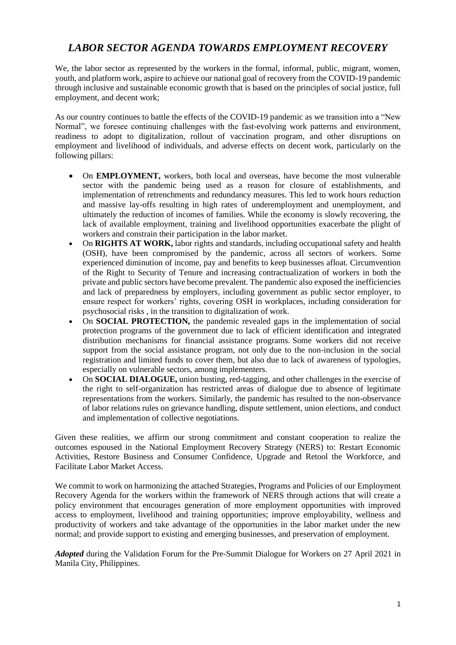# *LABOR SECTOR AGENDA TOWARDS EMPLOYMENT RECOVERY*

We, the labor sector as represented by the workers in the formal, informal, public, migrant, women, youth, and platform work, aspire to achieve our national goal of recovery from the COVID-19 pandemic through inclusive and sustainable economic growth that is based on the principles of social justice, full employment, and decent work;

As our country continues to battle the effects of the COVID-19 pandemic as we transition into a "New Normal", we foresee continuing challenges with the fast-evolving work patterns and environment, readiness to adopt to digitalization, rollout of vaccination program, and other disruptions on employment and livelihood of individuals, and adverse effects on decent work, particularly on the following pillars:

- On **EMPLOYMENT**, workers, both local and overseas, have become the most vulnerable sector with the pandemic being used as a reason for closure of establishments, and implementation of retrenchments and redundancy measures. This led to work hours reduction and massive lay-offs resulting in high rates of underemployment and unemployment, and ultimately the reduction of incomes of families. While the economy is slowly recovering, the lack of available employment, training and livelihood opportunities exacerbate the plight of workers and constrain their participation in the labor market.
- On **RIGHTS AT WORK**, labor rights and standards, including occupational safety and health (OSH), have been compromised by the pandemic, across all sectors of workers. Some experienced diminution of income, pay and benefits to keep businesses afloat. Circumvention of the Right to Security of Tenure and increasing contractualization of workers in both the private and public sectors have become prevalent. The pandemic also exposed the inefficiencies and lack of preparedness by employers, including government as public sector employer, to ensure respect for workers' rights, covering OSH in workplaces, including consideration for psychosocial risks , in the transition to digitalization of work.
- On **SOCIAL PROTECTION**, the pandemic revealed gaps in the implementation of social protection programs of the government due to lack of efficient identification and integrated distribution mechanisms for financial assistance programs. Some workers did not receive support from the social assistance program, not only due to the non-inclusion in the social registration and limited funds to cover them, but also due to lack of awareness of typologies, especially on vulnerable sectors, among implementers.
- On **SOCIAL DIALOGUE,** union busting, red-tagging, and other challenges in the exercise of the right to self-organization has restricted areas of dialogue due to absence of legitimate representations from the workers. Similarly, the pandemic has resulted to the non-observance of labor relations rules on grievance handling, dispute settlement, union elections, and conduct and implementation of collective negotiations.

Given these realities, we affirm our strong commitment and constant cooperation to realize the outcomes espoused in the National Employment Recovery Strategy (NERS) to: Restart Economic Activities, Restore Business and Consumer Confidence, Upgrade and Retool the Workforce, and Facilitate Labor Market Access.

We commit to work on harmonizing the attached Strategies, Programs and Policies of our Employment Recovery Agenda for the workers within the framework of NERS through actions that will create a policy environment that encourages generation of more employment opportunities with improved access to employment, livelihood and training opportunities; improve employability, wellness and productivity of workers and take advantage of the opportunities in the labor market under the new normal; and provide support to existing and emerging businesses, and preservation of employment.

*Adopted* during the Validation Forum for the Pre-Summit Dialogue for Workers on 27 April 2021 in Manila City, Philippines.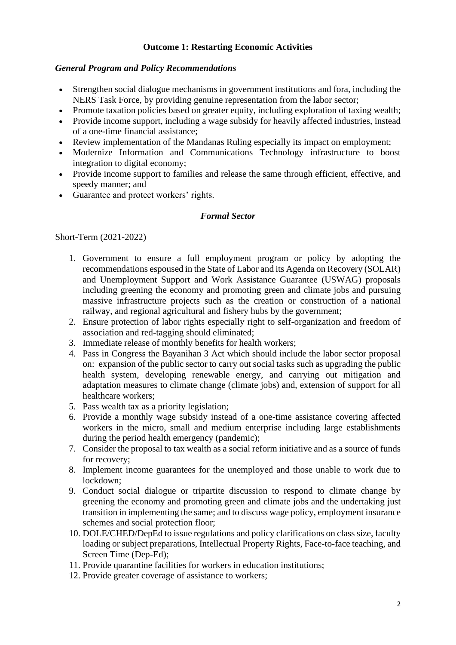### **Outcome 1: Restarting Economic Activities**

### *General Program and Policy Recommendations*

- Strengthen social dialogue mechanisms in government institutions and fora, including the NERS Task Force, by providing genuine representation from the labor sector;
- Promote taxation policies based on greater equity, including exploration of taxing wealth;
- Provide income support, including a wage subsidy for heavily affected industries, instead of a one-time financial assistance;
- Review implementation of the Mandanas Ruling especially its impact on employment;
- Modernize Information and Communications Technology infrastructure to boost integration to digital economy;
- Provide income support to families and release the same through efficient, effective, and speedy manner; and
- Guarantee and protect workers' rights.

### *Formal Sector*

- 1. Government to ensure a full employment program or policy by adopting the recommendations espoused in the State of Labor and its Agenda on Recovery (SOLAR) and Unemployment Support and Work Assistance Guarantee (USWAG) proposals including greening the economy and promoting green and climate jobs and pursuing massive infrastructure projects such as the creation or construction of a national railway, and regional agricultural and fishery hubs by the government;
- 2. Ensure protection of labor rights especially right to self-organization and freedom of association and red-tagging should eliminated;
- 3. Immediate release of monthly benefits for health workers;
- 4. Pass in Congress the Bayanihan 3 Act which should include the labor sector proposal on: expansion of the public sector to carry out social tasks such as upgrading the public health system, developing renewable energy, and carrying out mitigation and adaptation measures to climate change (climate jobs) and, extension of support for all healthcare workers;
- 5. Pass wealth tax as a priority legislation;
- 6. Provide a monthly wage subsidy instead of a one-time assistance covering affected workers in the micro, small and medium enterprise including large establishments during the period health emergency (pandemic);
- 7. Consider the proposal to tax wealth as a social reform initiative and as a source of funds for recovery;
- 8. Implement income guarantees for the unemployed and those unable to work due to lockdown;
- 9. Conduct social dialogue or tripartite discussion to respond to climate change by greening the economy and promoting green and climate jobs and the undertaking just transition in implementing the same; and to discuss wage policy, employment insurance schemes and social protection floor;
- 10. DOLE/CHED/DepEd to issue regulations and policy clarifications on class size, faculty loading or subject preparations, Intellectual Property Rights, Face-to-face teaching, and Screen Time (Dep-Ed);
- 11. Provide quarantine facilities for workers in education institutions;
- 12. Provide greater coverage of assistance to workers;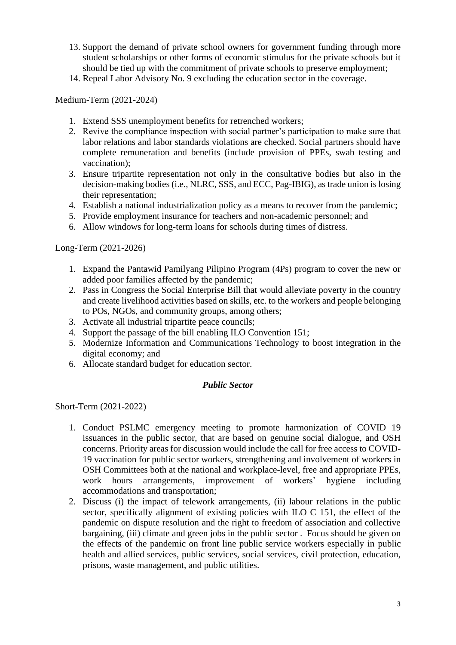- 13. Support the demand of private school owners for government funding through more student scholarships or other forms of economic stimulus for the private schools but it should be tied up with the commitment of private schools to preserve employment;
- 14. Repeal Labor Advisory No. 9 excluding the education sector in the coverage.

- 1. Extend SSS unemployment benefits for retrenched workers;
- 2. Revive the compliance inspection with social partner's participation to make sure that labor relations and labor standards violations are checked. Social partners should have complete remuneration and benefits (include provision of PPEs, swab testing and vaccination);
- 3. Ensure tripartite representation not only in the consultative bodies but also in the decision-making bodies (i.e., NLRC, SSS, and ECC, Pag-IBIG), as trade union is losing their representation;
- 4. Establish a national industrialization policy as a means to recover from the pandemic;
- 5. Provide employment insurance for teachers and non-academic personnel; and
- 6. Allow windows for long-term loans for schools during times of distress.

Long-Term (2021-2026)

- 1. Expand the Pantawid Pamilyang Pilipino Program (4Ps) program to cover the new or added poor families affected by the pandemic;
- 2. Pass in Congress the Social Enterprise Bill that would alleviate poverty in the country and create livelihood activities based on skills, etc. to the workers and people belonging to POs, NGOs, and community groups, among others;
- 3. Activate all industrial tripartite peace councils;
- 4. Support the passage of the bill enabling ILO Convention 151;
- 5. Modernize Information and Communications Technology to boost integration in the digital economy; and
- 6. Allocate standard budget for education sector.

### *Public Sector*

- 1. Conduct PSLMC emergency meeting to promote harmonization of COVID 19 issuances in the public sector, that are based on genuine social dialogue, and OSH concerns. Priority areas for discussion would include the call for free access to COVID-19 vaccination for public sector workers, strengthening and involvement of workers in OSH Committees both at the national and workplace-level, free and appropriate PPEs, work hours arrangements, improvement of workers' hygiene including accommodations and transportation;
- 2. Discuss (i) the impact of telework arrangements, (ii) labour relations in the public sector, specifically alignment of existing policies with ILO C 151, the effect of the pandemic on dispute resolution and the right to freedom of association and collective bargaining, (iii) climate and green jobs in the public sector . Focus should be given on the effects of the pandemic on front line public service workers especially in public health and allied services, public services, social services, civil protection, education, prisons, waste management, and public utilities.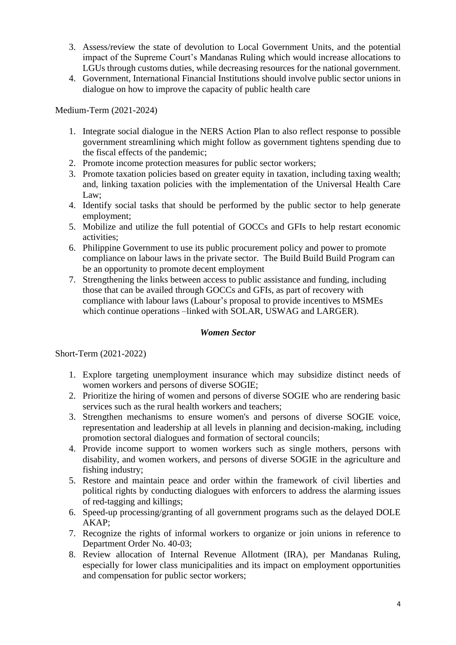- 3. Assess/review the state of devolution to Local Government Units, and the potential impact of the Supreme Court's Mandanas Ruling which would increase allocations to LGUs through customs duties, while decreasing resources for the national government.
- 4. Government, International Financial Institutions should involve public sector unions in dialogue on how to improve the capacity of public health care

- 1. Integrate social dialogue in the NERS Action Plan to also reflect response to possible government streamlining which might follow as government tightens spending due to the fiscal effects of the pandemic;
- 2. Promote income protection measures for public sector workers;
- 3. Promote taxation policies based on greater equity in taxation, including taxing wealth; and, linking taxation policies with the implementation of the Universal Health Care Law;
- 4. Identify social tasks that should be performed by the public sector to help generate employment;
- 5. Mobilize and utilize the full potential of GOCCs and GFIs to help restart economic activities;
- 6. Philippine Government to use its public procurement policy and power to promote compliance on labour laws in the private sector. The Build Build Build Program can be an opportunity to promote decent employment
- 7. Strengthening the links between access to public assistance and funding, including those that can be availed through GOCCs and GFIs, as part of recovery with compliance with labour laws (Labour's proposal to provide incentives to MSMEs which continue operations –linked with SOLAR, USWAG and LARGER).

### *Women Sector*

- 1. Explore targeting unemployment insurance which may subsidize distinct needs of women workers and persons of diverse SOGIE;
- 2. Prioritize the hiring of women and persons of diverse SOGIE who are rendering basic services such as the rural health workers and teachers;
- 3. Strengthen mechanisms to ensure women's and persons of diverse SOGIE voice, representation and leadership at all levels in planning and decision-making, including promotion sectoral dialogues and formation of sectoral councils;
- 4. Provide income support to women workers such as single mothers, persons with disability, and women workers, and persons of diverse SOGIE in the agriculture and fishing industry;
- 5. Restore and maintain peace and order within the framework of civil liberties and political rights by conducting dialogues with enforcers to address the alarming issues of red-tagging and killings;
- 6. Speed-up processing/granting of all government programs such as the delayed DOLE AKAP;
- 7. Recognize the rights of informal workers to organize or join unions in reference to Department Order No. 40-03;
- 8. Review allocation of Internal Revenue Allotment (IRA), per Mandanas Ruling, especially for lower class municipalities and its impact on employment opportunities and compensation for public sector workers;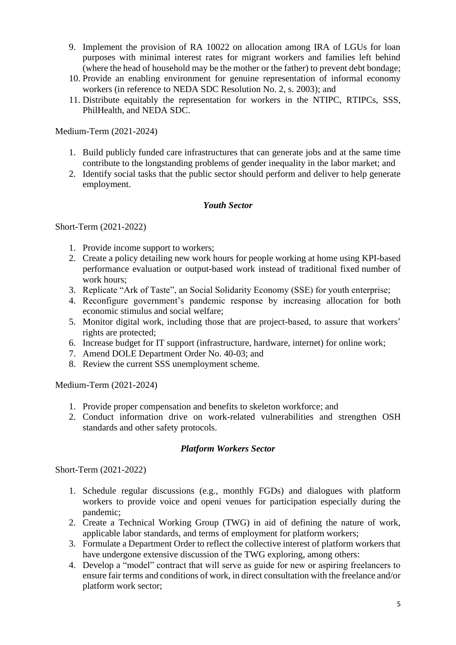- 9. Implement the provision of RA 10022 on allocation among IRA of LGUs for loan purposes with minimal interest rates for migrant workers and families left behind (where the head of household may be the mother or the father) to prevent debt bondage;
- 10. Provide an enabling environment for genuine representation of informal economy workers (in reference to NEDA SDC Resolution No. 2, s. 2003); and
- 11. Distribute equitably the representation for workers in the NTIPC, RTIPCs, SSS, PhilHealth, and NEDA SDC.

- 1. Build publicly funded care infrastructures that can generate jobs and at the same time contribute to the longstanding problems of gender inequality in the labor market; and
- 2. Identify social tasks that the public sector should perform and deliver to help generate employment.

### *Youth Sector*

Short-Term (2021-2022)

- 1. Provide income support to workers;
- 2. Create a policy detailing new work hours for people working at home using KPI-based performance evaluation or output-based work instead of traditional fixed number of work hours;
- 3. Replicate "Ark of Taste", an Social Solidarity Economy (SSE) for youth enterprise;
- 4. Reconfigure government's pandemic response by increasing allocation for both economic stimulus and social welfare;
- 5. Monitor digital work, including those that are project-based, to assure that workers' rights are protected;
- 6. Increase budget for IT support (infrastructure, hardware, internet) for online work;
- 7. Amend DOLE Department Order No. 40-03; and
- 8. Review the current SSS unemployment scheme.

Medium-Term (2021-2024)

- 1. Provide proper compensation and benefits to skeleton workforce; and
- 2. Conduct information drive on work-related vulnerabilities and strengthen OSH standards and other safety protocols.

### *Platform Workers Sector*

- 1. Schedule regular discussions (e.g., monthly FGDs) and dialogues with platform workers to provide voice and openi venues for participation especially during the pandemic;
- 2. Create a Technical Working Group (TWG) in aid of defining the nature of work, applicable labor standards, and terms of employment for platform workers;
- 3. Formulate a Department Order to reflect the collective interest of platform workers that have undergone extensive discussion of the TWG exploring, among others:
- 4. Develop a "model" contract that will serve as guide for new or aspiring freelancers to ensure fair terms and conditions of work, in direct consultation with the freelance and/or platform work sector;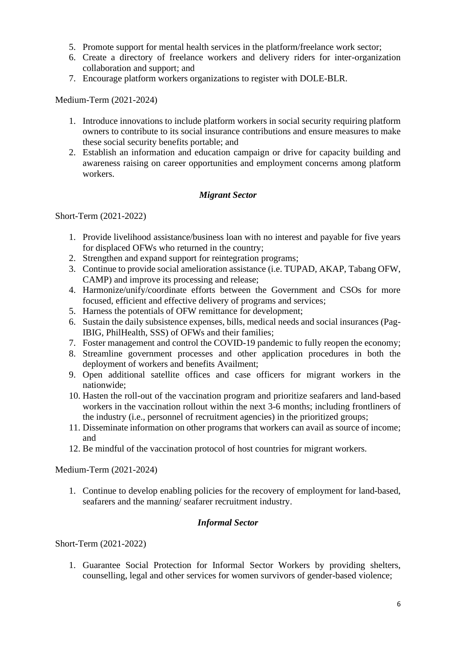- 5. Promote support for mental health services in the platform/freelance work sector;
- 6. Create a directory of freelance workers and delivery riders for inter-organization collaboration and support; and
- 7. Encourage platform workers organizations to register with DOLE-BLR.

- 1. Introduce innovations to include platform workers in social security requiring platform owners to contribute to its social insurance contributions and ensure measures to make these social security benefits portable; and
- 2. Establish an information and education campaign or drive for capacity building and awareness raising on career opportunities and employment concerns among platform workers.

### *Migrant Sector*

Short-Term (2021-2022)

- 1. Provide livelihood assistance/business loan with no interest and payable for five years for displaced OFWs who returned in the country;
- 2. Strengthen and expand support for reintegration programs;
- 3. Continue to provide social amelioration assistance (i.e. TUPAD, AKAP, Tabang OFW, CAMP) and improve its processing and release;
- 4. Harmonize/unify/coordinate efforts between the Government and CSOs for more focused, efficient and effective delivery of programs and services;
- 5. Harness the potentials of OFW remittance for development;
- 6. Sustain the daily subsistence expenses, bills, medical needs and social insurances (Pag-IBIG, PhilHealth, SSS) of OFWs and their families;
- 7. Foster management and control the COVID-19 pandemic to fully reopen the economy;
- 8. Streamline government processes and other application procedures in both the deployment of workers and benefits Availment;
- 9. Open additional satellite offices and case officers for migrant workers in the nationwide;
- 10. Hasten the roll-out of the vaccination program and prioritize seafarers and land-based workers in the vaccination rollout within the next 3-6 months; including frontliners of the industry (i.e., personnel of recruitment agencies) in the prioritized groups;
- 11. Disseminate information on other programs that workers can avail as source of income; and
- 12. Be mindful of the vaccination protocol of host countries for migrant workers.

### Medium-Term (2021-2024)

1. Continue to develop enabling policies for the recovery of employment for land-based, seafarers and the manning/ seafarer recruitment industry.

### *Informal Sector*

Short-Term (2021-2022)

1. Guarantee Social Protection for Informal Sector Workers by providing shelters, counselling, legal and other services for women survivors of gender-based violence;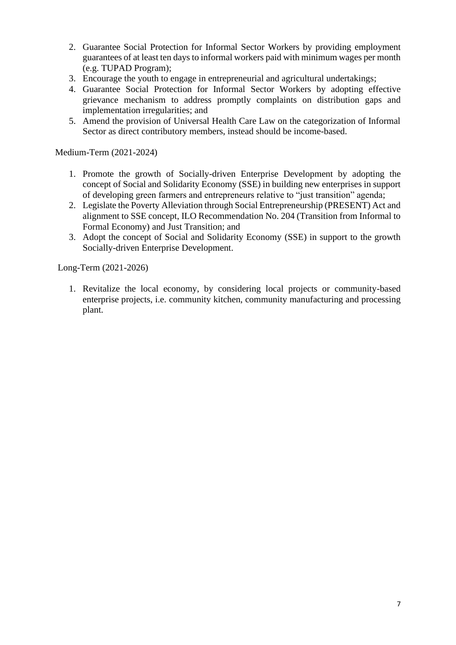- 2. Guarantee Social Protection for Informal Sector Workers by providing employment guarantees of at least ten days to informal workers paid with minimum wages per month (e.g. TUPAD Program);
- 3. Encourage the youth to engage in entrepreneurial and agricultural undertakings;
- 4. Guarantee Social Protection for Informal Sector Workers by adopting effective grievance mechanism to address promptly complaints on distribution gaps and implementation irregularities; and
- 5. Amend the provision of Universal Health Care Law on the categorization of Informal Sector as direct contributory members, instead should be income-based.

- 1. Promote the growth of Socially-driven Enterprise Development by adopting the concept of Social and Solidarity Economy (SSE) in building new enterprises in support of developing green farmers and entrepreneurs relative to "just transition" agenda;
- 2. Legislate the Poverty Alleviation through Social Entrepreneurship (PRESENT) Act and alignment to SSE concept, ILO Recommendation No. 204 (Transition from Informal to Formal Economy) and Just Transition; and
- 3. Adopt the concept of Social and Solidarity Economy (SSE) in support to the growth Socially-driven Enterprise Development.

Long-Term (2021-2026)

1. Revitalize the local economy, by considering local projects or community-based enterprise projects, i.e. community kitchen, community manufacturing and processing plant.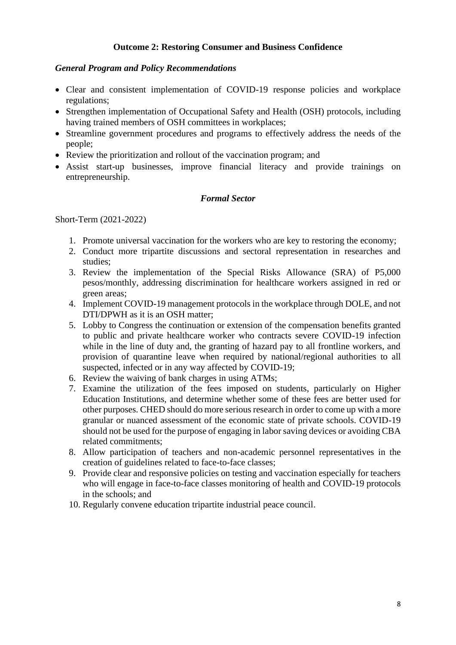### **Outcome 2: Restoring Consumer and Business Confidence**

### *General Program and Policy Recommendations*

- Clear and consistent implementation of COVID-19 response policies and workplace regulations;
- Strengthen implementation of Occupational Safety and Health (OSH) protocols, including having trained members of OSH committees in workplaces;
- Streamline government procedures and programs to effectively address the needs of the people;
- Review the prioritization and rollout of the vaccination program; and
- Assist start-up businesses, improve financial literacy and provide trainings on entrepreneurship.

### *Formal Sector*

- 1. Promote universal vaccination for the workers who are key to restoring the economy;
- 2. Conduct more tripartite discussions and sectoral representation in researches and studies;
- 3. Review the implementation of the Special Risks Allowance (SRA) of P5,000 pesos/monthly, addressing discrimination for healthcare workers assigned in red or green areas;
- 4. Implement COVID-19 management protocols in the workplace through DOLE, and not DTI/DPWH as it is an OSH matter;
- 5. Lobby to Congress the continuation or extension of the compensation benefits granted to public and private healthcare worker who contracts severe COVID-19 infection while in the line of duty and, the granting of hazard pay to all frontline workers, and provision of quarantine leave when required by national/regional authorities to all suspected, infected or in any way affected by COVID-19;
- 6. Review the waiving of bank charges in using ATMs;
- 7. Examine the utilization of the fees imposed on students, particularly on Higher Education Institutions, and determine whether some of these fees are better used for other purposes. CHED should do more serious research in order to come up with a more granular or nuanced assessment of the economic state of private schools. COVID-19 should not be used for the purpose of engaging in labor saving devices or avoiding CBA related commitments;
- 8. Allow participation of teachers and non-academic personnel representatives in the creation of guidelines related to face-to-face classes;
- 9. Provide clear and responsive policies on testing and vaccination especially for teachers who will engage in face-to-face classes monitoring of health and COVID-19 protocols in the schools; and
- 10. Regularly convene education tripartite industrial peace council.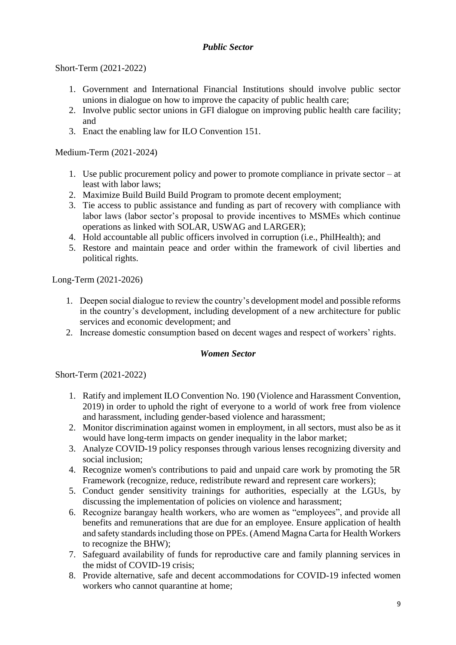### *Public Sector*

Short-Term (2021-2022)

- 1. Government and International Financial Institutions should involve public sector unions in dialogue on how to improve the capacity of public health care;
- 2. Involve public sector unions in GFI dialogue on improving public health care facility; and
- 3. Enact the enabling law for ILO Convention 151.

Medium-Term (2021-2024)

- 1. Use public procurement policy and power to promote compliance in private sector at least with labor laws;
- 2. Maximize Build Build Build Program to promote decent employment;
- 3. Tie access to public assistance and funding as part of recovery with compliance with labor laws (labor sector's proposal to provide incentives to MSMEs which continue operations as linked with SOLAR, USWAG and LARGER);
- 4. Hold accountable all public officers involved in corruption (i.e., PhilHealth); and
- 5. Restore and maintain peace and order within the framework of civil liberties and political rights.

Long-Term (2021-2026)

- 1. Deepen social dialogue to review the country's development model and possible reforms in the country's development, including development of a new architecture for public services and economic development; and
- 2. Increase domestic consumption based on decent wages and respect of workers' rights.

### *Women Sector*

- 1. Ratify and implement ILO Convention No. 190 (Violence and Harassment Convention, 2019) in order to uphold the right of everyone to a world of work free from violence and harassment, including gender-based violence and harassment;
- 2. Monitor discrimination against women in employment, in all sectors, must also be as it would have long-term impacts on gender inequality in the labor market;
- 3. Analyze COVID-19 policy responses through various lenses recognizing diversity and social inclusion;
- 4. Recognize women's contributions to paid and unpaid care work by promoting the 5R Framework (recognize, reduce, redistribute reward and represent care workers);
- 5. Conduct gender sensitivity trainings for authorities, especially at the LGUs, by discussing the implementation of policies on violence and harassment;
- 6. Recognize barangay health workers, who are women as "employees", and provide all benefits and remunerations that are due for an employee. Ensure application of health and safety standards including those on PPEs. (Amend Magna Carta for Health Workers to recognize the BHW);
- 7. Safeguard availability of funds for reproductive care and family planning services in the midst of COVID-19 crisis;
- 8. Provide alternative, safe and decent accommodations for COVID-19 infected women workers who cannot quarantine at home;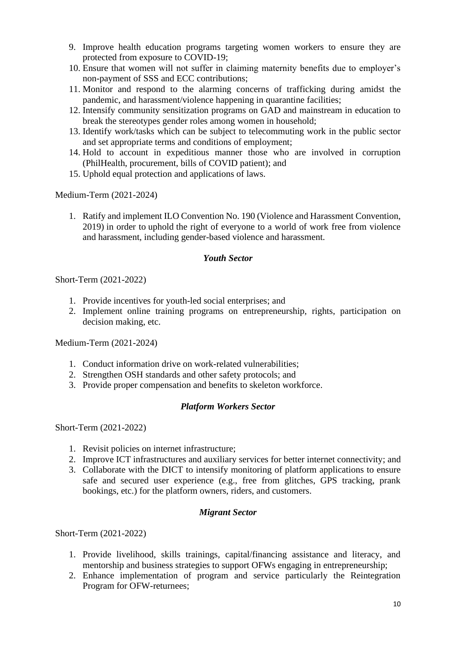- 9. Improve health education programs targeting women workers to ensure they are protected from exposure to COVID-19;
- 10. Ensure that women will not suffer in claiming maternity benefits due to employer's non-payment of SSS and ECC contributions;
- 11. Monitor and respond to the alarming concerns of trafficking during amidst the pandemic, and harassment/violence happening in quarantine facilities;
- 12. Intensify community sensitization programs on GAD and mainstream in education to break the stereotypes gender roles among women in household;
- 13. Identify work/tasks which can be subject to telecommuting work in the public sector and set appropriate terms and conditions of employment;
- 14. Hold to account in expeditious manner those who are involved in corruption (PhilHealth, procurement, bills of COVID patient); and
- 15. Uphold equal protection and applications of laws.

1. Ratify and implement ILO Convention No. 190 (Violence and Harassment Convention, 2019) in order to uphold the right of everyone to a world of work free from violence and harassment, including gender-based violence and harassment.

### *Youth Sector*

Short-Term (2021-2022)

- 1. Provide incentives for youth-led social enterprises; and
- 2. Implement online training programs on entrepreneurship, rights, participation on decision making, etc.

Medium-Term (2021-2024)

- 1. Conduct information drive on work-related vulnerabilities;
- 2. Strengthen OSH standards and other safety protocols; and
- 3. Provide proper compensation and benefits to skeleton workforce.

### *Platform Workers Sector*

Short-Term (2021-2022)

- 1. Revisit policies on internet infrastructure;
- 2. Improve ICT infrastructures and auxiliary services for better internet connectivity; and
- 3. Collaborate with the DICT to intensify monitoring of platform applications to ensure safe and secured user experience (e.g., free from glitches, GPS tracking, prank bookings, etc.) for the platform owners, riders, and customers.

### *Migrant Sector*

- 1. Provide livelihood, skills trainings, capital/financing assistance and literacy, and mentorship and business strategies to support OFWs engaging in entrepreneurship;
- 2. Enhance implementation of program and service particularly the Reintegration Program for OFW-returnees;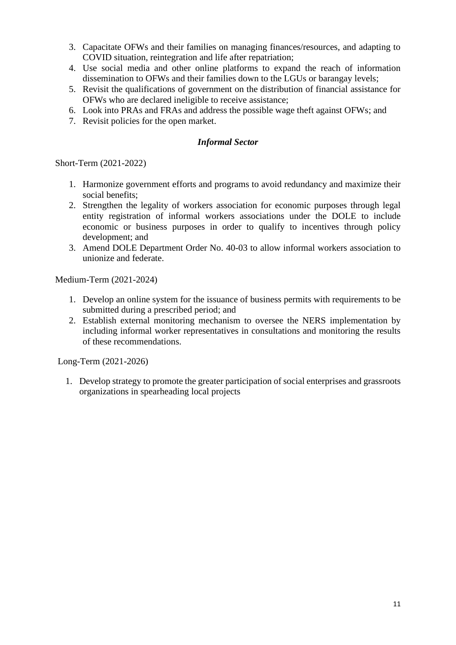- 3. Capacitate OFWs and their families on managing finances/resources, and adapting to COVID situation, reintegration and life after repatriation;
- 4. Use social media and other online platforms to expand the reach of information dissemination to OFWs and their families down to the LGUs or barangay levels;
- 5. Revisit the qualifications of government on the distribution of financial assistance for OFWs who are declared ineligible to receive assistance;
- 6. Look into PRAs and FRAs and address the possible wage theft against OFWs; and
- 7. Revisit policies for the open market.

### *Informal Sector*

Short-Term (2021-2022)

- 1. Harmonize government efforts and programs to avoid redundancy and maximize their social benefits;
- 2. Strengthen the legality of workers association for economic purposes through legal entity registration of informal workers associations under the DOLE to include economic or business purposes in order to qualify to incentives through policy development; and
- 3. Amend DOLE Department Order No. 40-03 to allow informal workers association to unionize and federate.

Medium-Term (2021-2024)

- 1. Develop an online system for the issuance of business permits with requirements to be submitted during a prescribed period; and
- 2. Establish external monitoring mechanism to oversee the NERS implementation by including informal worker representatives in consultations and monitoring the results of these recommendations.

Long-Term (2021-2026)

1. Develop strategy to promote the greater participation of social enterprises and grassroots organizations in spearheading local projects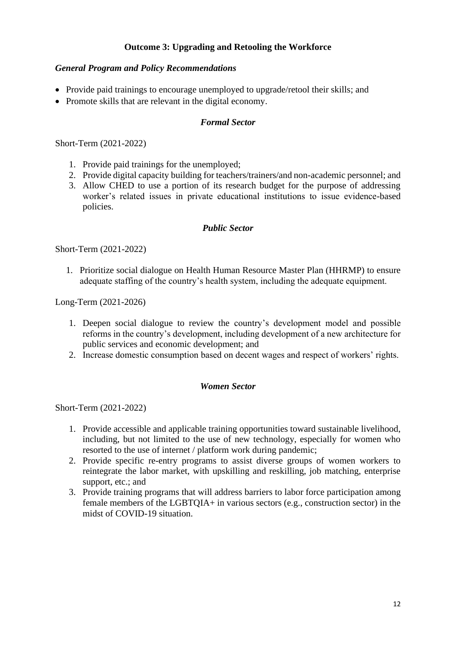# **Outcome 3: Upgrading and Retooling the Workforce**

### *General Program and Policy Recommendations*

- Provide paid trainings to encourage unemployed to upgrade/retool their skills; and
- Promote skills that are relevant in the digital economy.

### *Formal Sector*

Short-Term (2021-2022)

- 1. Provide paid trainings for the unemployed;
- 2. Provide digital capacity building for teachers/trainers/and non-academic personnel; and
- 3. Allow CHED to use a portion of its research budget for the purpose of addressing worker's related issues in private educational institutions to issue evidence-based policies.

### *Public Sector*

Short-Term (2021-2022)

1. Prioritize social dialogue on Health Human Resource Master Plan (HHRMP) to ensure adequate staffing of the country's health system, including the adequate equipment.

Long-Term (2021-2026)

- 1. Deepen social dialogue to review the country's development model and possible reforms in the country's development, including development of a new architecture for public services and economic development; and
- 2. Increase domestic consumption based on decent wages and respect of workers' rights.

### *Women Sector*

- 1. Provide accessible and applicable training opportunities toward sustainable livelihood, including, but not limited to the use of new technology, especially for women who resorted to the use of internet / platform work during pandemic;
- 2. Provide specific re-entry programs to assist diverse groups of women workers to reintegrate the labor market, with upskilling and reskilling, job matching, enterprise support, etc.; and
- 3. Provide training programs that will address barriers to labor force participation among female members of the LGBTQIA+ in various sectors (e.g., construction sector) in the midst of COVID-19 situation.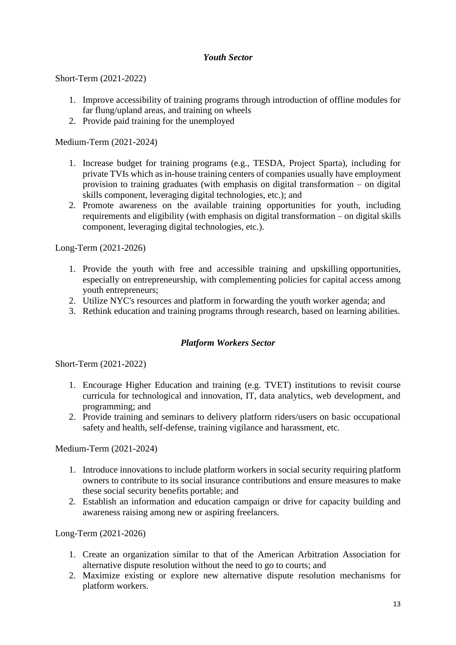### *Youth Sector*

Short-Term (2021-2022)

- 1. Improve accessibility of training programs through introduction of offline modules for far flung/upland areas, and training on wheels
- 2. Provide paid training for the unemployed

Medium-Term (2021-2024)

- 1. Increase budget for training programs (e.g., TESDA, Project Sparta), including for private TVIs which as in-house training centers of companies usually have employment provision to training graduates (with emphasis on digital transformation – on digital skills component, leveraging digital technologies, etc.); and
- 2. Promote awareness on the available training opportunities for youth, including requirements and eligibility (with emphasis on digital transformation – on digital skills component, leveraging digital technologies, etc.).

Long-Term (2021-2026)

- 1. Provide the youth with free and accessible training and upskilling opportunities, especially on entrepreneurship, with complementing policies for capital access among youth entrepreneurs;
- 2. Utilize NYC's resources and platform in forwarding the youth worker agenda; and
- 3. Rethink education and training programs through research, based on learning abilities.

### *Platform Workers Sector*

Short-Term (2021-2022)

- 1. Encourage Higher Education and training (e.g. TVET) institutions to revisit course curricula for technological and innovation, IT, data analytics, web development, and programming; and
- 2. Provide training and seminars to delivery platform riders/users on basic occupational safety and health, self-defense, training vigilance and harassment, etc.

Medium-Term (2021-2024)

- 1. Introduce innovations to include platform workers in social security requiring platform owners to contribute to its social insurance contributions and ensure measures to make these social security benefits portable; and
- 2. Establish an information and education campaign or drive for capacity building and awareness raising among new or aspiring freelancers.

Long-Term (2021-2026)

- 1. Create an organization similar to that of the American Arbitration Association for alternative dispute resolution without the need to go to courts; and
- 2. Maximize existing or explore new alternative dispute resolution mechanisms for platform workers.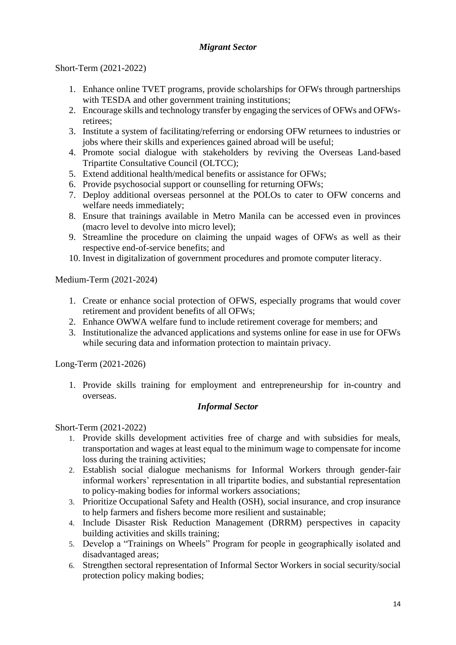# *Migrant Sector*

# Short-Term (2021-2022)

- 1. Enhance online TVET programs, provide scholarships for OFWs through partnerships with TESDA and other government training institutions;
- 2. Encourage skills and technology transfer by engaging the services of OFWs and OFWsretirees;
- 3. Institute a system of facilitating/referring or endorsing OFW returnees to industries or jobs where their skills and experiences gained abroad will be useful;
- 4. Promote social dialogue with stakeholders by reviving the Overseas Land-based Tripartite Consultative Council (OLTCC);
- 5. Extend additional health/medical benefits or assistance for OFWs;
- 6. Provide psychosocial support or counselling for returning OFWs;
- 7. Deploy additional overseas personnel at the POLOs to cater to OFW concerns and welfare needs immediately;
- 8. Ensure that trainings available in Metro Manila can be accessed even in provinces (macro level to devolve into micro level);
- 9. Streamline the procedure on claiming the unpaid wages of OFWs as well as their respective end-of-service benefits; and
- 10. Invest in digitalization of government procedures and promote computer literacy.

Medium-Term (2021-2024)

- 1. Create or enhance social protection of OFWS, especially programs that would cover retirement and provident benefits of all OFWs;
- 2. Enhance OWWA welfare fund to include retirement coverage for members; and
- 3. Institutionalize the advanced applications and systems online for ease in use for OFWs while securing data and information protection to maintain privacy.

Long-Term (2021-2026)

1. Provide skills training for employment and entrepreneurship for in-country and overseas.

### *Informal Sector*

- 1. Provide skills development activities free of charge and with subsidies for meals, transportation and wages at least equal to the minimum wage to compensate for income loss during the training activities;
- 2. Establish social dialogue mechanisms for Informal Workers through gender-fair informal workers' representation in all tripartite bodies, and substantial representation to policy-making bodies for informal workers associations;
- 3. Prioritize Occupational Safety and Health (OSH), social insurance, and crop insurance to help farmers and fishers become more resilient and sustainable;
- 4. Include Disaster Risk Reduction Management (DRRM) perspectives in capacity building activities and skills training;
- 5. Develop a "Trainings on Wheels" Program for people in geographically isolated and disadvantaged areas;
- 6. Strengthen sectoral representation of Informal Sector Workers in social security/social protection policy making bodies;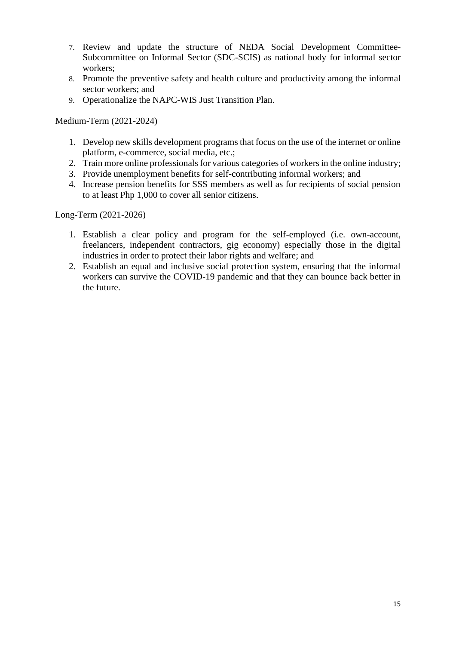- 7. Review and update the structure of NEDA Social Development Committee-Subcommittee on Informal Sector (SDC-SCIS) as national body for informal sector workers;
- 8. Promote the preventive safety and health culture and productivity among the informal sector workers; and
- 9. Operationalize the NAPC-WIS Just Transition Plan.

- 1. Develop new skills development programs that focus on the use of the internet or online platform, e-commerce, social media, etc.;
- 2. Train more online professionals for various categories of workers in the online industry;
- 3. Provide unemployment benefits for self-contributing informal workers; and
- 4. Increase pension benefits for SSS members as well as for recipients of social pension to at least Php 1,000 to cover all senior citizens.

Long-Term (2021-2026)

- 1. Establish a clear policy and program for the self-employed (i.e. own-account, freelancers, independent contractors, gig economy) especially those in the digital industries in order to protect their labor rights and welfare; and
- 2. Establish an equal and inclusive social protection system, ensuring that the informal workers can survive the COVID-19 pandemic and that they can bounce back better in the future.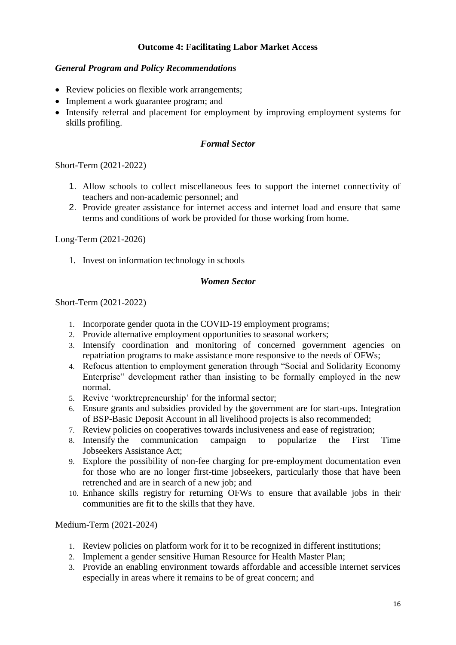# **Outcome 4: Facilitating Labor Market Access**

### *General Program and Policy Recommendations*

- Review policies on flexible work arrangements;
- Implement a work guarantee program; and
- Intensify referral and placement for employment by improving employment systems for skills profiling.

### *Formal Sector*

Short-Term (2021-2022)

- 1. Allow schools to collect miscellaneous fees to support the internet connectivity of teachers and non-academic personnel; and
- 2. Provide greater assistance for internet access and internet load and ensure that same terms and conditions of work be provided for those working from home.

Long-Term (2021-2026)

1. Invest on information technology in schools

### *Women Sector*

Short-Term (2021-2022)

- 1. Incorporate gender quota in the COVID-19 employment programs;
- 2. Provide alternative employment opportunities to seasonal workers;
- 3. Intensify coordination and monitoring of concerned government agencies on repatriation programs to make assistance more responsive to the needs of OFWs;
- 4. Refocus attention to employment generation through "Social and Solidarity Economy Enterprise" development rather than insisting to be formally employed in the new normal.
- 5. Revive 'worktrepreneurship' for the informal sector;
- 6. Ensure grants and subsidies provided by the government are for start-ups. Integration of BSP-Basic Deposit Account in all livelihood projects is also recommended;
- 7. Review policies on cooperatives towards inclusiveness and ease of registration;
- 8. Intensify the communication campaign to popularize the First Time Jobseekers Assistance Act;
- 9. Explore the possibility of non-fee charging for pre-employment documentation even for those who are no longer first-time jobseekers, particularly those that have been retrenched and are in search of a new job; and
- 10. Enhance skills registry for returning OFWs to ensure that available jobs in their communities are fit to the skills that they have.

Medium-Term (2021-2024)

- 1. Review policies on platform work for it to be recognized in different institutions;
- 2. Implement a gender sensitive Human Resource for Health Master Plan;
- 3. Provide an enabling environment towards affordable and accessible internet services especially in areas where it remains to be of great concern; and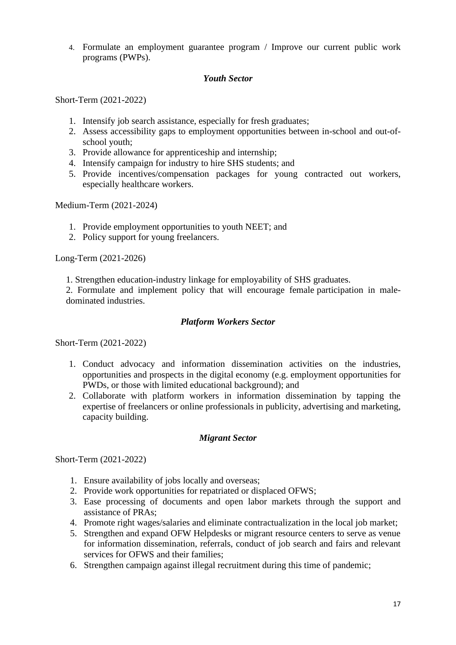4. Formulate an employment guarantee program / Improve our current public work programs (PWPs).

### *Youth Sector*

Short-Term (2021-2022)

- 1. Intensify job search assistance, especially for fresh graduates;
- 2. Assess accessibility gaps to employment opportunities between in-school and out-ofschool youth;
- 3. Provide allowance for apprenticeship and internship;
- 4. Intensify campaign for industry to hire SHS students; and
- 5. Provide incentives/compensation packages for young contracted out workers, especially healthcare workers.

Medium-Term (2021-2024)

- 1. Provide employment opportunities to youth NEET; and
- 2. Policy support for young freelancers.

Long-Term (2021-2026)

1. Strengthen education-industry linkage for employability of SHS graduates.

2. Formulate and implement policy that will encourage female participation in maledominated industries.

### *Platform Workers Sector*

Short-Term (2021-2022)

- 1. Conduct advocacy and information dissemination activities on the industries, opportunities and prospects in the digital economy (e.g. employment opportunities for PWDs, or those with limited educational background); and
- 2. Collaborate with platform workers in information dissemination by tapping the expertise of freelancers or online professionals in publicity, advertising and marketing, capacity building.

### *Migrant Sector*

- 1. Ensure availability of jobs locally and overseas;
- 2. Provide work opportunities for repatriated or displaced OFWS;
- 3. Ease processing of documents and open labor markets through the support and assistance of PRAs;
- 4. Promote right wages/salaries and eliminate contractualization in the local job market;
- 5. Strengthen and expand OFW Helpdesks or migrant resource centers to serve as venue for information dissemination, referrals, conduct of job search and fairs and relevant services for OFWS and their families;
- 6. Strengthen campaign against illegal recruitment during this time of pandemic;